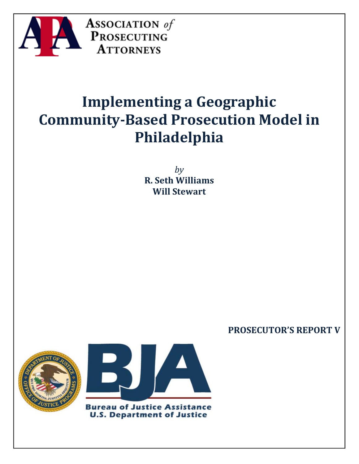

# **Implementing a Geographic Community-Based Prosecution Model in Philadelphia**

*by* **R. Seth Williams Will Stewart**

# **PROSECUTOR'S REPORT V**





**U.S. Department of Justice**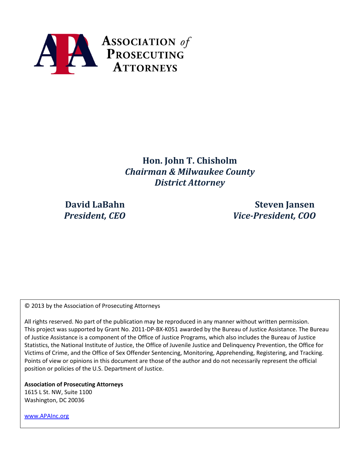

**Hon. John T. Chisholm** *Chairman & Milwaukee County District Attorney*

**David LaBahn Steven Jansen** *President, CEO Vice-President, COO*

© 2013 by the Association of Prosecuting Attorneys

All rights reserved. No part of the publication may be reproduced in any manner without written permission. This project was supported by Grant No. 2011-DP-BX-K051 awarded by the Bureau of Justice Assistance. The Bureau of Justice Assistance is a component of the Office of Justice Programs, which also includes the Bureau of Justice Statistics, the National Institute of Justice, the Office of Juvenile Justice and Delinquency Prevention, the Office for Victims of Crime, and the Office of Sex Offender Sentencing, Monitoring, Apprehending, Registering, and Tracking. Points of view or opinions in this document are those of the author and do not necessarily represent the official position or policies of the U.S. Department of Justice.

**Association of Prosecuting Attorneys** 1615 L St. NW, Suite 1100 Washington, DC 20036

[www.APAInc.org](http://www.apainc.org/)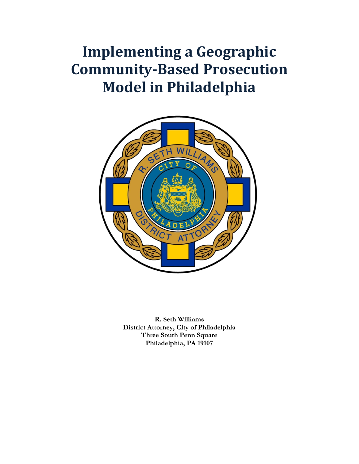# **Implementing a Geographic Community-Based Prosecution Model in Philadelphia**



**R. Seth Williams District Attorney, City of Philadelphia Three South Penn Square Philadelphia, PA 19107**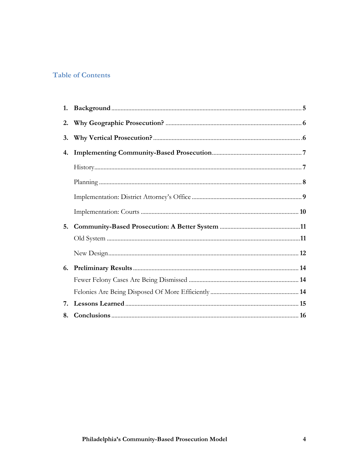## **Table of Contents**

| 3. |  |
|----|--|
| 4. |  |
|    |  |
|    |  |
|    |  |
|    |  |
| 5. |  |
|    |  |
|    |  |
| 6. |  |
|    |  |
|    |  |
| 7. |  |
| 8. |  |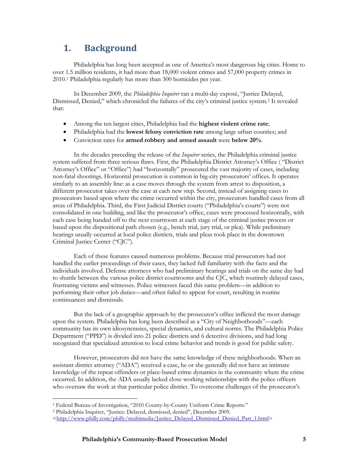# **1. Background**

Philadelphia has long been accepted as one of America's most dangerous big cities. Home to over 1.5 million residents, it had more than 18,000 violent crimes and 57,000 property crimes in 2010.[1](#page-4-0) Philadelphia regularly has more than 300 homicides per year.

In December 2009, the *Philadelphia Inquirer* ran a multi-day exposé, "Justice Delayed, Dismissed, Denied," which chronicled the failures of the city's criminal justice system.[2](#page-4-1) It revealed that:

- Among the ten largest cities, Philadelphia had the **highest violent crime rate**;
- Philadelphia had the **lowest felony conviction rate** among large urban counties; and
- Conviction rates for **armed robbery and armed assault** were **below 20%**.

In the decades preceding the release of the *Inquirer* series, the Philadelphia criminal justice system suffered from three serious flaws. First, the Philadelphia District Attorney's Office ( "District Attorney's Office" or "Office") had "horizontally" prosecuted the vast majority of cases, including non-fatal shootings. Horizontal prosecution is common in big-city prosecutors' offices. It operates similarly to an assembly line: as a case moves through the system from arrest to disposition, a different prosecutor takes over the case at each new step. Second, instead of assigning cases to prosecutors based upon where the crime occurred within the city, prosecutors handled cases from all areas of Philadelphia. Third, the First Judicial District courts ("Philadelphia's courts") were not consolidated in one building, and like the prosecutor's office, cases were processed horizontally, with each case being handed off to the next courtroom at each stage of the criminal justice process or based upon the dispositional path chosen (e.g., bench trial, jury trial, or plea). While preliminary hearings usually occurred at local police districts, trials and pleas took place in the downtown Criminal Justice Center ("CJC").

Each of these features caused numerous problems. Because trial prosecutors had not handled the earlier proceedings of their cases, they lacked full familiarity with the facts and the individuals involved. Defense attorneys who had preliminary hearings and trials on the same day had to shuttle between the various police district courtrooms and the CJC, which routinely delayed cases, frustrating victims and witnesses. Police witnesses faced this same problem—in addition to performing their other job duties—and often failed to appear for court, resulting in routine continuances and dismissals.

But the lack of a geographic approach by the prosecutor's office inflicted the most damage upon the system. Philadelphia has long been described as a "City of Neighborhoods"—each community has its own idiosyncrasies, special dynamics, and cultural norms. The Philadelphia Police Department ("PPD") is divided into 21 police districts and 6 detective divisions, and had long recognized that specialized attention to local crime behavior and trends is good for public safety.

However, prosecutors did not have the same knowledge of these neighborhoods. When an assistant district attorney ("ADA") received a case, he or she generally did not have an intimate knowledge of the repeat offenders or place-based crime dynamics in the community where the crime occurred. In addition, the ADA usually lacked close working relationships with the police officers who oversaw the work at that particular police district. To overcome challenges of the prosecutor's

 $\overline{a}$ 

<sup>&</sup>lt;sup>1</sup> Federal Bureau of Investigation, "2010 County-by-County Uniform Crime Reports."

<span id="page-4-1"></span><span id="page-4-0"></span><sup>2</sup> Philadelphia Inquirer, "Justice: Delayed, dismissed, denied", December 2009.

[<sup>&</sup>lt;http://www.philly.com/philly/multimedia/Justice\\_Delayed\\_Dismissed\\_Denied\\_Part\\_1.html>](http://www.philly.com/philly/multimedia/Justice_Delayed_Dismissed_Denied_Part_1.html)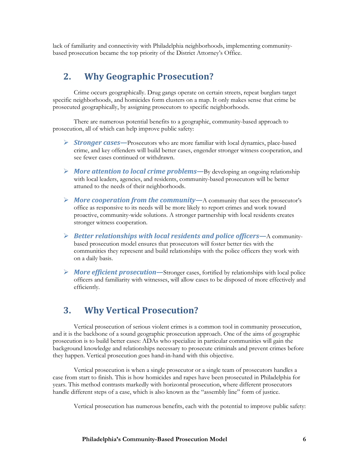lack of familiarity and connectivity with Philadelphia neighborhoods, implementing communitybased prosecution became the top priority of the District Attorney's Office.

## **2. Why Geographic Prosecution?**

Crime occurs geographically. Drug gangs operate on certain streets, repeat burglars target specific neighborhoods, and homicides form clusters on a map. It only makes sense that crime be prosecuted geographically, by assigning prosecutors to specific neighborhoods.

There are numerous potential benefits to a geographic, community-based approach to prosecution, all of which can help improve public safety:

- *Stronger cases—*Prosecutors who are more familiar with local dynamics, place-based crime, and key offenders will build better cases, engender stronger witness cooperation, and see fewer cases continued or withdrawn.
- *More attention to local crime problems—*By developing an ongoing relationship with local leaders, agencies, and residents, community-based prosecutors will be better attuned to the needs of their neighborhoods.
- *More cooperation from the community—*A community that sees the prosecutor's office as responsive to its needs will be more likely to report crimes and work toward proactive, community-wide solutions. A stronger partnership with local residents creates stronger witness cooperation.
- *Better relationships with local residents and police officers—*A communitybased prosecution model ensures that prosecutors will foster better ties with the communities they represent and build relationships with the police officers they work with on a daily basis.
- *More efficient prosecution—*Stronger cases, fortified by relationships with local police officers and familiarity with witnesses, will allow cases to be disposed of more effectively and efficiently.

# **3. Why Vertical Prosecution?**

Vertical prosecution of serious violent crimes is a common tool in community prosecution, and it is the backbone of a sound geographic prosecution approach. One of the aims of geographic prosecution is to build better cases: ADAs who specialize in particular communities will gain the background knowledge and relationships necessary to prosecute criminals and prevent crimes before they happen. Vertical prosecution goes hand-in-hand with this objective.

Vertical prosecution is when a single prosecutor or a single team of prosecutors handles a case from start to finish. This is how homicides and rapes have been prosecuted in Philadelphia for years. This method contrasts markedly with horizontal prosecution, where different prosecutors handle different steps of a case, which is also known as the "assembly line" form of justice.

Vertical prosecution has numerous benefits, each with the potential to improve public safety: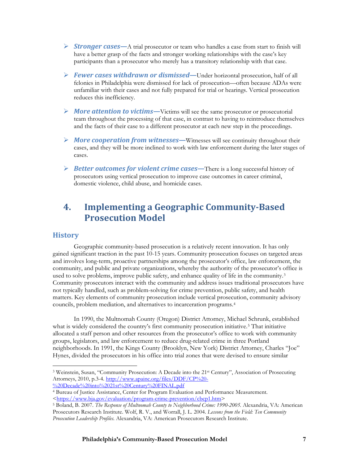- *Stronger cases—*A trial prosecutor or team who handles a case from start to finish will have a better grasp of the facts and stronger working relationships with the case's key participants than a prosecutor who merely has a transitory relationship with that case.
- *Fewer cases withdrawn or dismissed—*Under horizontal prosecution, half of all felonies in Philadelphia were dismissed for lack of prosecution—often because ADAs were unfamiliar with their cases and not fully prepared for trial or hearings. Vertical prosecution reduces this inefficiency.
- *More attention to victims—*Victims will see the same prosecutor or prosecutorial team throughout the processing of that case, in contrast to having to reintroduce themselves and the facts of their case to a different prosecutor at each new step in the proceedings.
- *More cooperation from witnesses—*Witnesses will see continuity throughout their cases, and they will be more inclined to work with law enforcement during the later stages of cases.
- *Better outcomes for violent crime cases—*There is a long successful history of prosecutors using vertical prosecution to improve case outcomes in career criminal, domestic violence, child abuse, and homicide cases.

# **4. Implementing a Geographic Community-Based Prosecution Model**

## **History**

Geographic community-based prosecution is a relatively recent innovation. It has only gained significant traction in the past 10-15 years. Community prosecution focuses on targeted areas and involves long-term, proactive partnerships among the prosecutor's office, law enforcement, the community, and public and private organizations, whereby the authority of the prosecutor's office is used to solve problems, improve public safety, and enhance quality of life in the community.[3](#page-6-0) Community prosecutors interact with the community and address issues traditional prosecutors have not typically handled, such as problem-solving for crime prevention, public safety, and health matters. Key elements of community prosecution include vertical prosecution, community advisory councils, problem mediation, and alternatives to incarceration programs[.4](#page-6-1)

In 1990, the Multnomah County (Oregon) District Attorney, Michael Schrunk, established what is widely considered the country's first community prosecution initiative.<sup>[5](#page-6-2)</sup> That initiative allocated a staff person and other resources from the prosecutor's office to work with community groups, legislators, and law enforcement to reduce drug-related crime in three Portland neighborhoods. In 1991, the Kings County (Brooklyn, New York) District Attorney, Charles "Joe" Hynes, divided the prosecutors in his office into trial zones that were devised to ensure similar

<span id="page-6-0"></span> $\overline{a}$ <sup>3</sup> Weinstein, Susan, "Community Prosecution: A Decade into the 21<sup>st</sup> Century", Association of Prosecuting Attorneys, 2010, p.3-4[. http://www.apainc.org/files/DDF/CP%20-](http://www.apainc.org/files/DDF/CP%20-%20Decade%20into%2021st%20Century%20FINAL.pdf)

[<sup>%20</sup>Decade%20into%2021st%20Century%20FINAL.pdf](http://www.apainc.org/files/DDF/CP%20-%20Decade%20into%2021st%20Century%20FINAL.pdf)

<span id="page-6-1"></span><sup>4</sup> Bureau of Justice Assistance, Center for Program Evaluation and Performance Measurement. [<https://www.bja.gov/evaluation/program-crime-prevention/cbcp1.htm>](https://www.bja.gov/evaluation/program-crime-prevention/cbcp1.htm)

<span id="page-6-2"></span><sup>5</sup> Boland, B. 2007. *The Response of Multnomah County to Neighborhood Crime: 1990-2005.* Alexandria, VA: American Prosecutors Research Institute. Wolf, R. V., and Worrall, J. L. 2004. *Lessons from the Field: Ten Community Prosecution Leadership Profiles.* Alexandria, VA: American Prosecutors Research Institute.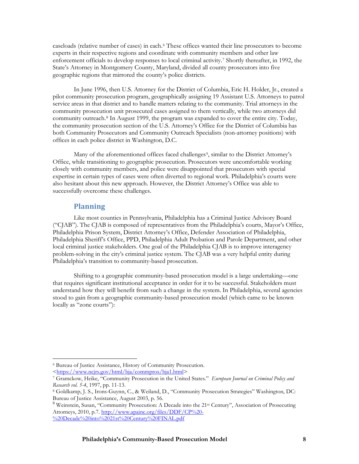caseloads (relative number of cases) in each.[6](#page-7-0) These offices wanted their line prosecutors to become experts in their respective regions and coordinate with community members and other law enforcement officials to develop responses to local criminal activity.[7](#page-7-1) Shortly thereafter, in 1992, the State's Attorney in Montgomery County, Maryland, divided all county prosecutors into five geographic regions that mirrored the county's police districts.

In June 1996, then U.S. Attorney for the District of Columbia, Eric H. Holder, Jr., created a pilot community prosecution program, geographically assigning 19 Assistant U.S. Attorneys to patrol service areas in that district and to handle matters relating to the community. Trial attorneys in the community prosecution unit prosecuted cases assigned to them vertically, while two attorneys did community outreach.[8](#page-7-2) In August 1999, the program was expanded to cover the entire city. Today, the community prosecution section of the U.S. Attorney's Office for the District of Columbia has both Community Prosecutors and Community Outreach Specialists (non-attorney positions) with offices in each police district in Washington, D.C.

Many of the aforementioned offices faced challenges<sup>9</sup>, similar to the District Attorney's Office, while transitioning to geographic prosecution. Prosecutors were uncomfortable working closely with community members, and police were disappointed that prosecutors with special expertise in certain types of cases were often diverted to regional work. Philadelphia's courts were also hesitant about this new approach. However, the District Attorney's Office was able to successfully overcome these challenges.

## **Planning**

 $\overline{a}$ 

Like most counties in Pennsylvania, Philadelphia has a Criminal Justice Advisory Board ("CJAB"). The CJAB is composed of representatives from the Philadelphia's courts, Mayor's Office, Philadelphia Prison System, District Attorney's Office, Defender Association of Philadelphia, Philadelphia Sheriff's Office, PPD, Philadelphia Adult Probation and Parole Department, and other local criminal justice stakeholders. One goal of the Philadelphia CJAB is to improve interagency problem-solving in the city's criminal justice system. The CJAB was a very helpful entity during Philadelphia's transition to community-based prosecution.

Shifting to a geographic community-based prosecution model is a large undertaking—one that requires significant institutional acceptance in order for it to be successful. Stakeholders must understand how they will benefit from such a change in the system. In Philadelphia, several agencies stood to gain from a geographic community-based prosecution model (which came to be known locally as "zone courts"):

<span id="page-7-0"></span><sup>6</sup> Bureau of Justice Assistance, History of Community Prosecution. [<https://www.ncjrs.gov/html/bja/commpros/bja1.html>](https://www.ncjrs.gov/html/bja/commpros/bja1.html)

<span id="page-7-1"></span><sup>7</sup> Gramckow, Heike, "Community Prosecution in the United States." *European Journal on Criminal Policy and Research vol. 5-4*, 1997, pp. 11-13.<br><sup>8</sup> Goldkamp, J. S., Irons-Guynn, C., & Weiland, D., "Community Prosecution Strategies" Washington, DC:

<span id="page-7-2"></span>Bureau of Justice Assistance, August 2003, p. 56.

<span id="page-7-3"></span><sup>&</sup>lt;sup>9</sup> Weinstein, Susan, "Community Prosecution: A Decade into the 21<sup>st</sup> Century", Association of Prosecuting Attorneys, 2010, p.7. [http://www.apainc.org/files/DDF/CP%20-](http://www.apainc.org/files/DDF/CP%20-%20Decade%20into%2021st%20Century%20FINAL.pdf) [%20Decade%20into%2021st%20Century%20FINAL.pdf](http://www.apainc.org/files/DDF/CP%20-%20Decade%20into%2021st%20Century%20FINAL.pdf)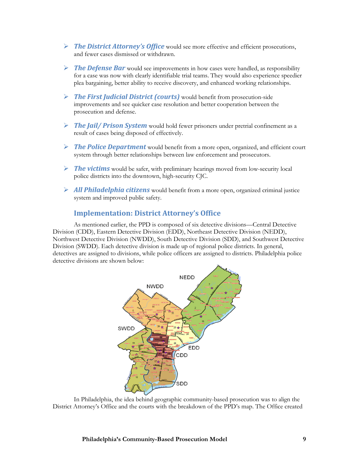- *The District Attorney's Office* would see more effective and efficient prosecutions, and fewer cases dismissed or withdrawn.
- *The Defense Bar* would see improvements in how cases were handled, as responsibility for a case was now with clearly identifiable trial teams. They would also experience speedier plea bargaining, better ability to receive discovery, and enhanced working relationships.
- *The First Judicial District (courts)* would benefit from prosecution-side improvements and see quicker case resolution and better cooperation between the prosecution and defense.
- *The Jail/ Prison System* would hold fewer prisoners under pretrial confinement as a result of cases being disposed of effectively.
- *The Police Department* would benefit from a more open, organized, and efficient court system through better relationships between law enforcement and prosecutors.
- *The victims* would be safer, with preliminary hearings moved from low-security local police districts into the downtown, high-security CJC.
- *All Philadelphia citizens* would benefit from a more open, organized criminal justice system and improved public safety.

## **Implementation: District Attorney's Office**

As mentioned earlier, the PPD is composed of six detective divisions—Central Detective Division (CDD), Eastern Detective Division (EDD), Northeast Detective Division (NEDD), Northwest Detective Division (NWDD), South Detective Division (SDD), and Southwest Detective Division (SWDD). Each detective division is made up of regional police districts. In general, detectives are assigned to divisions, while police officers are assigned to districts. Philadelphia police detective divisions are shown below:



In Philadelphia, the idea behind geographic community-based prosecution was to align the District Attorney's Office and the courts with the breakdown of the PPD's map. The Office created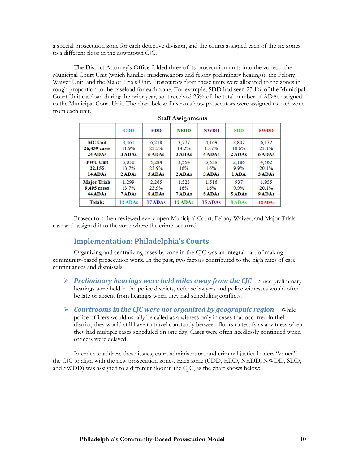a special prosecution zone for each detective division, and the courts assigned each of the six zones to a different floor in the downtown CJC.

The District Attorney's Office folded three of its prosecution units into the zones—the Municipal Court Unit (which handles misdemeanors and felony preliminary hearings), the Felony Waiver Unit, and the Major Trials Unit. Prosecutors from these units were allocated to the zones in rough proportion to the caseload for each zone. For example, SDD had seen 23.1% of the Municipal Court Unit caseload during the prior year, so it received 25% of the total number of ADAs assigned to the Municipal Court Unit. The chart below illustrates how prosecutors were assigned to each zone from each unit.

| otan <i>rissignments</i> |            |            |             |             |            |             |  |  |
|--------------------------|------------|------------|-------------|-------------|------------|-------------|--|--|
|                          | <b>CDD</b> | <b>EDD</b> | <b>NEDD</b> | <b>NWDD</b> | <b>SDD</b> | <b>SWDD</b> |  |  |
| <b>MC</b> Unit           | 3.461      | 6.218      | 3.777       | 4.169       | 2.807      | 6,132       |  |  |
| 26,439 cases             | 11.9%      | 23.5%      | 14.2%       | 15.7%       | 10.6%      | 23.1%       |  |  |
| 24 ADAs                  | 3 ADAs     | 6 ADAs     | 3 ADAs      | 4 ADAs      | 2 ADAs     | 6 ADAs      |  |  |
| <b>FWU Unit</b>          | 3.030      | 5.284      | 3.554       | 3.539       | 2,186      | 4,562       |  |  |
| 22,155                   | 13.7%      | 23.9%      | 16%         | 16%         | 9.9%       | 20.1%       |  |  |
| 14 ADAs                  | 2 ADAs     | 3 ADAs     | 2 ADAs      | 3 ADAs      | 1 ADA      | 3 ADAs      |  |  |
| <b>Major Trials</b>      | 1.299      | 2.265      | 1.523       | 1.516       | 937        | 1,955       |  |  |
| 9,495 cases              | 13.7%      | 23.9%      | 16%         | 16%         | 9.9%       | 20.1%       |  |  |
| 44 ADAs                  | 7 ADAs     | 8 ADAs     | 7 ADAs      | 8 ADAs      | 5 ADAs     | 9 ADAs      |  |  |
| <b>Totals:</b>           | 12 ADAs    | 17 ADAs    | 12 ADAs     | 15 ADAs     | 8 ADAs     | 18 ADAs     |  |  |

| <b>Staff Assignments</b> |
|--------------------------|
|--------------------------|

Prosecutors then reviewed every open Municipal Court, Felony Waiver, and Major Trials case and assigned it to the zone where the crime occurred.

## **Implementation: Philadelphia's Courts**

Organizing and centralizing cases by zone in the CJC was an integral part of making community-based prosecution work. In the past, two factors contributed to the high rates of case continuances and dismissals:

- *Preliminary hearings were held miles away from the CJC—*Since preliminary hearings were held in the police districts, defense lawyers and police witnesses would often be late or absent from hearings when they had scheduling conflicts.
- *Courtrooms in the CJC were not organized by geographic region—*While

police officers would usually be called as a witness only in cases that occurred in their district, they would still have to travel constantly between floors to testify as a witness when they had multiple cases scheduled on one day. Cases were often needlessly continued when officers were delayed.

In order to address these issues, court administrators and criminal justice leaders "zoned" the CJC to align with the new prosecution zones. Each zone (CDD, EDD, NEDD, NWDD, SDD, and SWDD) was assigned to a different floor in the CJC, as the chart shows below: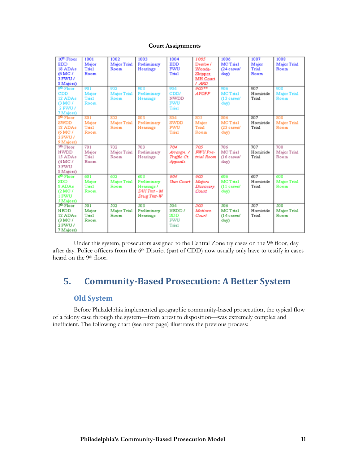#### **Court Assignments**

| 10 <sup>th</sup> Floor | 1001         | 1002               | 1003        | 1004             | 1005         | 1006          | 1007     | 1008               |
|------------------------|--------------|--------------------|-------------|------------------|--------------|---------------|----------|--------------------|
| <b>EDD</b>             | Major        | Major Trial        | Preliminary | <b>EDD</b>       | Dembe /      | MC Trial      | Major    | Major Trial        |
| 18 ADAs                | Trial        | Room               | Hearings    | <b>FWU</b>       | Woods-       | $(24 \cases$  | Trial    | Room               |
| (6 MC /                | Room         |                    |             | <b>Tria1</b>     | Skipper.     | day)          | Room     |                    |
| 3 FWU /                |              |                    |             |                  | MH.Court     |               |          |                    |
| 8 Majors)              |              |                    |             |                  | / ARD        |               |          |                    |
| gth Floor              | 901          | 902                | 903         | 904              | $905***$     | 906           | 907      | 908                |
| CDD                    | Major        | Major Trial        | Preliminary | CDD/             | <b>AVOPP</b> | MC Trial      | Homicide | Major Trial        |
| 12 ADAs                | <b>Trial</b> | Room               | Hearings    | <b>NWDD</b>      |              | $(13 \csc s)$ | Trial    | Room               |
| GMC/                   | Room         |                    |             | <b>FWU</b>       |              | day)          |          |                    |
| 2 FWU /                |              |                    |             | <b>Trial</b>     |              |               |          |                    |
| 7 Majors)              |              |                    |             |                  |              |               |          |                    |
| 8 <sup>th</sup> Floor  | 801          | 802                | 803         | 804              | 805          | 806           | 807      | 808                |
| SWDD                   | Major        | Major Trial        | Preliminary | <b>SWDD</b>      | Major        | MC Trial      | Homicide | Major Trial        |
| 18 ADAs                | Tria1        | Room               | Hearings    | <b>FWU</b>       | Trial        | (23 cases/    | Trial    | Room               |
| (6 MC /                | Room         |                    |             | Trial            | Room         | day)          |          |                    |
| 3 FWU /                |              |                    |             |                  |              |               |          |                    |
| 9 Majors)              |              |                    |             |                  |              |               |          |                    |
| 7 <sup>th</sup> Floor  | 701          | 702                | 703         | 704              | 705          | 706           | 707      | 708                |
| <b>NWDD</b>            | Major        | Major Trial        | Preliminary | Arraign. /       | FWU Pre-     | MC Trial      | Homicide | Major Trial        |
| 15 ADAs                | Trial        | Room               | Hearings    | Traffic Ct.      | trial Room   | $(16 \csc s)$ | Trial    | Room               |
| (4 MC /                | Room         |                    |             | Appeals          |              | day)          |          |                    |
| 3 FWU                  |              |                    |             |                  |              |               |          |                    |
| 8 Majors)              |              |                    |             |                  |              |               |          |                    |
| 6 <sup>th</sup> Floor  | 601          | 602                | 603         | 604              | 605          | 606           | 607      | 608                |
| $_{\rm SDD}$           | Major        | <b>Major Trial</b> | Preliminary | <b>Gun</b> Court | Majors       | MC Trial      | Homicide | <b>Major Trial</b> |
| 8 ADAs                 | Trial        | Room               | Hearings /  |                  | Discovery.   | $(11$ cases/  | Trial    | Room               |
| QMC/                   | Room         |                    | DUI Tmt - M |                  | Court        | day)          |          |                    |
| 1 FWU                  |              |                    | Drug Tmt-W  |                  |              |               |          |                    |
| 5 Majors)              |              |                    |             |                  |              |               |          |                    |
| 5 <sup>th</sup> Floor  | 501          | 502                | 503         | 504              | 505          | 506           | 507      | 508                |
| <b>NEDD</b>            | Major        | Major Trial        | Preliminary | NEDD/            | Motions      | MC Trial      | Homicide | Major Trial        |
| 12 ADAs                | Trial        | Room               | Hearings    | SDD              | Court        | $(14$ cases/  | Trial    | Room               |
| GMC/                   | Room         |                    |             | <b>FWU</b>       |              | day)          |          |                    |
| 2 FWU /                |              |                    |             | Tria1            |              |               |          |                    |
| 7 Majors)              |              |                    |             |                  |              |               |          |                    |

Under this system, prosecutors assigned to the Central Zone try cases on the 9th floor, day after day. Police officers from the 6th District (part of CDD) now usually only have to testify in cases heard on the 9<sup>th</sup> floor.

# **5. Community-Based Prosecution: A Better System**

## **Old System**

Before Philadelphia implemented geographic community-based prosecution, the typical flow of a felony case through the system—from arrest to disposition—was extremely complex and inefficient. The following chart (see next page) illustrates the previous process: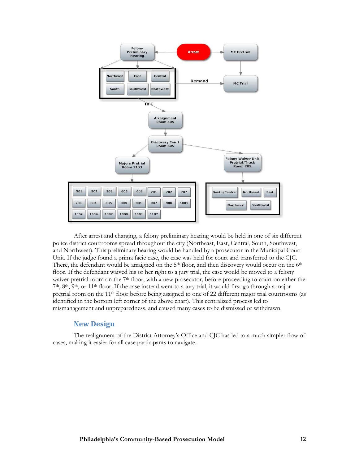

After arrest and charging, a felony preliminary hearing would be held in one of six different police district courtrooms spread throughout the city (Northeast, East, Central, South, Southwest, and Northwest). This preliminary hearing would be handled by a prosecutor in the Municipal Court Unit. If the judge found a prima facie case, the case was held for court and transferred to the CJC. There, the defendant would be arraigned on the  $5<sup>th</sup>$  floor, and then discovery would occur on the  $6<sup>th</sup>$ floor. If the defendant waived his or her right to a jury trial, the case would be moved to a felony waiver pretrial room on the 7<sup>th</sup> floor, with a new prosecutor, before proceeding to court on either the 7th, 8th, 9th, or 11th floor. If the case instead went to a jury trial, it would first go through a major pretrial room on the 11th floor before being assigned to one of 22 different major trial courtrooms (as identified in the bottom left corner of the above chart). This centralized process led to mismanagement and unpreparedness, and caused many cases to be dismissed or withdrawn.

### **New Design**

The realignment of the District Attorney's Office and CJC has led to a much simpler flow of cases, making it easier for all case participants to navigate.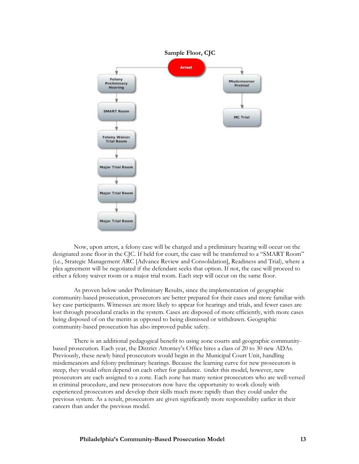

Now, upon arrest, a felony case will be charged and a preliminary hearing will occur on the designated zone floor in the CJC. If held for court, the case will be transferred to a "SMART Room" (i.e., Strategic Management ARC [Advance Review and Consolidation], Readiness and Trial), where a plea agreement will be negotiated if the defendant seeks that option. If not, the case will proceed to either a felony waiver room or a major trial room. Each step will occur on the same floor.

As proven below under Preliminary Results, since the implementation of geographic community-based prosecution, prosecutors are better prepared for their cases and more familiar with key case participants. Witnesses are more likely to appear for hearings and trials, and fewer cases are lost through procedural cracks in the system. Cases are disposed of more efficiently, with more cases being disposed of on the merits as opposed to being dismissed or withdrawn. Geographic community-based prosecution has also improved public safety.

There is an additional pedagogical benefit to using zone courts and geographic communitybased prosecution. Each year, the District Attorney's Office hires a class of 20 to 30 new ADAs. Previously, these newly hired prosecutors would begin in the Municipal Court Unit, handling misdemeanors and felony preliminary hearings. Because the learning curve for new prosecutors is steep, they would often depend on each other for guidance. Under this model, however, new prosecutors are each assigned to a zone. Each zone has many senior prosecutors who are well-versed in criminal procedure, and new prosecutors now have the opportunity to work closely with experienced prosecutors and develop their skills much more rapidly than they could under the previous system. As a result, prosecutors are given significantly more responsibility earlier in their careers than under the previous model.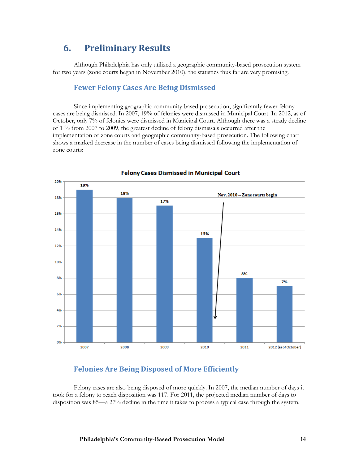# **6. Preliminary Results**

Although Philadelphia has only utilized a geographic community-based prosecution system for two years (zone courts began in November 2010), the statistics thus far are very promising.

## **Fewer Felony Cases Are Being Dismissed**

Since implementing geographic community-based prosecution, significantly fewer felony cases are being dismissed. In 2007, 19% of felonies were dismissed in Municipal Court. In 2012, as of October, only 7% of felonies were dismissed in Municipal Court. Although there was a steady decline of 1 % from 2007 to 2009, the greatest decline of felony dismissals occurred after the implementation of zone courts and geographic community-based prosecution. The following chart shows a marked decrease in the number of cases being dismissed following the implementation of zone courts:



#### **Felony Cases Dismissed in Municipal Court**

## **Felonies Are Being Disposed of More Efficiently**

Felony cases are also being disposed of more quickly. In 2007, the median number of days it took for a felony to reach disposition was 117. For 2011, the projected median number of days to disposition was 85—a 27% decline in the time it takes to process a typical case through the system.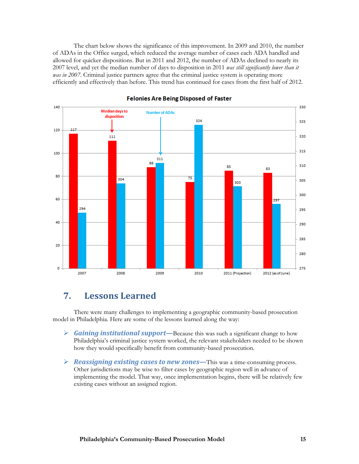The chart below shows the significance of this improvement. In 2009 and 2010, the number of ADAs in the Office surged, which reduced the average number of cases each ADA handled and allowed for quicker dispositions. But in 2011 and 2012, the number of ADAs declined to nearly its 2007 level, and yet the median number of days to disposition in 2011 *was still significantly lower than it was in 2007*. Criminal justice partners agree that the criminal justice system is operating more efficiently and effectively than before. This trend has continued for cases from the first half of 2012.



#### **Felonies Are Being Disposed of Faster**

# **7. Lessons Learned**

There were many challenges to implementing a geographic community-based prosecution model in Philadelphia. Here are some of the lessons learned along the way:

- *Gaining institutional support—*Because this was such a significant change to how Philadelphia's criminal justice system worked, the relevant stakeholders needed to be shown how they would specifically benefit from community-based prosecution.
- *Reassigning existing cases to new zones—*This was a time-consuming process. Other jurisdictions may be wise to filter cases by geographic region well in advance of implementing the model. That way, once implementation begins, there will be relatively few existing cases without an assigned region.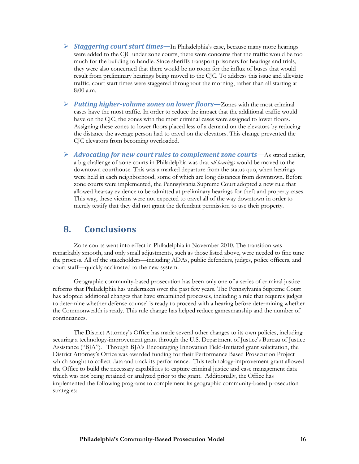- *Staggering court start times—*In Philadelphia's case, because many more hearings were added to the CJC under zone courts, there were concerns that the traffic would be too much for the building to handle. Since sheriffs transport prisoners for hearings and trials, they were also concerned that there would be no room for the influx of buses that would result from preliminary hearings being moved to the CJC. To address this issue and alleviate traffic, court start times were staggered throughout the morning, rather than all starting at 8:00 a.m.
- *Putting higher-volume zones on lower floors—*Zones with the most criminal cases have the most traffic. In order to reduce the impact that the additional traffic would have on the CJC, the zones with the most criminal cases were assigned to lower floors. Assigning these zones to lower floors placed less of a demand on the elevators by reducing the distance the average person had to travel on the elevators. This change prevented the CJC elevators from becoming overloaded.
- *Advocating for new court rules to complement zone courts—*As stated earlier, a big challenge of zone courts in Philadelphia was that *all hearings* would be moved to the downtown courthouse. This was a marked departure from the status quo, when hearings were held in each neighborhood, some of which are long distances from downtown. Before zone courts were implemented, the Pennsylvania Supreme Court adopted a new rule that allowed hearsay evidence to be admitted at preliminary hearings for theft and property cases. This way, these victims were not expected to travel all of the way downtown in order to merely testify that they did not grant the defendant permission to use their property.

## **8. Conclusions**

Zone courts went into effect in Philadelphia in November 2010. The transition was remarkably smooth, and only small adjustments, such as those listed above, were needed to fine tune the process. All of the stakeholders—including ADAs, public defenders, judges, police officers, and court staff—quickly acclimated to the new system.

Geographic community-based prosecution has been only one of a series of criminal justice reforms that Philadelphia has undertaken over the past few years. The Pennsylvania Supreme Court has adopted additional changes that have streamlined processes, including a rule that requires judges to determine whether defense counsel is ready to proceed with a hearing before determining whether the Commonwealth is ready. This rule change has helped reduce gamesmanship and the number of continuances.

The District Attorney's Office has made several other changes to its own policies, including securing a technology-improvement grant through the U.S. Department of Justice's Bureau of Justice Assistance ("BJA"). Through BJA's Encouraging Innovation Field-Initiated grant solicitation, the District Attorney's Office was awarded funding for their Performance Based Prosecution Project which sought to collect data and track its performance. This technology-improvement grant allowed the Office to build the necessary capabilities to capture criminal justice and case management data which was not being retained or analyzed prior to the grant. Additionally, the Office has implemented the following programs to complement its geographic community-based prosecution strategies: